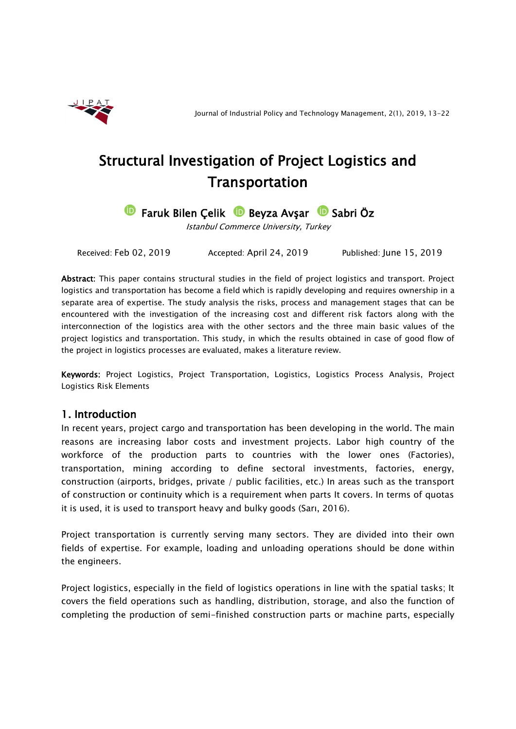

# Structural Investigation of Project Logistics and Transportation

**D** Faruk Bilen Çelik **D** Beyza Avşar **D** Sabri Öz

Istanbul Commerce University, Turkey

Received: Feb 02, 2019 Accepted: April 24, 2019 Published: June 15, 2019

Abstract: This paper contains structural studies in the field of project logistics and transport. Project logistics and transportation has become a field which is rapidly developing and requires ownership in a separate area of expertise. The study analysis the risks, process and management stages that can be encountered with the investigation of the increasing cost and different risk factors along with the interconnection of the logistics area with the other sectors and the three main basic values of the project logistics and transportation. This study, in which the results obtained in case of good flow of the project in logistics processes are evaluated, makes a literature review.

Keywords: Project Logistics, Project Transportation, Logistics, Logistics Process Analysis, Project Logistics Risk Elements

# 1. Introduction

In recent years, project cargo and transportation has been developing in the world. The main reasons are increasing labor costs and investment projects. Labor high country of the workforce of the production parts to countries with the lower ones (Factories), transportation, mining according to define sectoral investments, factories, energy, construction (airports, bridges, private / public facilities, etc.) In areas such as the transport of construction or continuity which is a requirement when parts It covers. In terms of quotas it is used, it is used to transport heavy and bulky goods (Sarı, 2016).

Project transportation is currently serving many sectors. They are divided into their own fields of expertise. For example, loading and unloading operations should be done within the engineers.

Project logistics, especially in the field of logistics operations in line with the spatial tasks; It covers the field operations such as handling, distribution, storage, and also the function of completing the production of semi-finished construction parts or machine parts, especially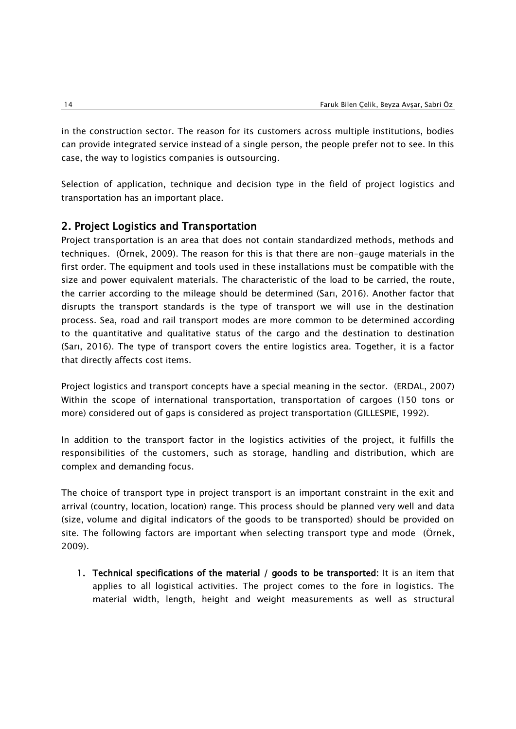in the construction sector. The reason for its customers across multiple institutions, bodies can provide integrated service instead of a single person, the people prefer not to see. In this case, the way to logistics companies is outsourcing.

Selection of application, technique and decision type in the field of project logistics and transportation has an important place.

# 2. Project Logistics and Transportation

Project transportation is an area that does not contain standardized methods, methods and techniques. (Örnek, 2009). The reason for this is that there are non-gauge materials in the first order. The equipment and tools used in these installations must be compatible with the size and power equivalent materials. The characteristic of the load to be carried, the route, the carrier according to the mileage should be determined (Sarı, 2016). Another factor that disrupts the transport standards is the type of transport we will use in the destination process. Sea, road and rail transport modes are more common to be determined according to the quantitative and qualitative status of the cargo and the destination to destination (Sarı, 2016). The type of transport covers the entire logistics area. Together, it is a factor that directly affects cost items.

Project logistics and transport concepts have a special meaning in the sector. (ERDAL, 2007) Within the scope of international transportation, transportation of cargoes (150 tons or more) considered out of gaps is considered as project transportation (GILLESPIE, 1992).

In addition to the transport factor in the logistics activities of the project, it fulfills the responsibilities of the customers, such as storage, handling and distribution, which are complex and demanding focus.

The choice of transport type in project transport is an important constraint in the exit and arrival (country, location, location) range. This process should be planned very well and data (size, volume and digital indicators of the goods to be transported) should be provided on site. The following factors are important when selecting transport type and mode (Örnek, 2009).

1. Technical specifications of the material / goods to be transported: It is an item that applies to all logistical activities. The project comes to the fore in logistics. The material width, length, height and weight measurements as well as structural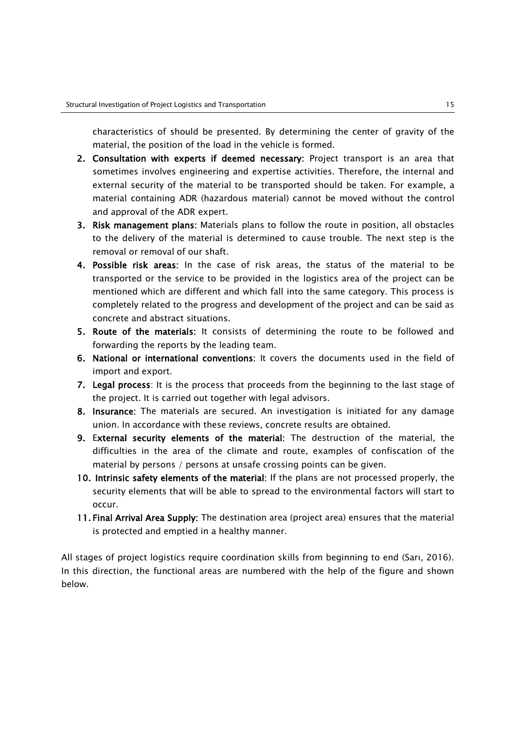characteristics of should be presented. By determining the center of gravity of the material, the position of the load in the vehicle is formed.

- 2. Consultation with experts if deemed necessary: Project transport is an area that sometimes involves engineering and expertise activities. Therefore, the internal and external security of the material to be transported should be taken. For example, a material containing ADR (hazardous material) cannot be moved without the control and approval of the ADR expert.
- 3. Risk management plans: Materials plans to follow the route in position, all obstacles to the delivery of the material is determined to cause trouble. The next step is the removal or removal of our shaft.
- 4. Possible risk areas: In the case of risk areas, the status of the material to be transported or the service to be provided in the logistics area of the project can be mentioned which are different and which fall into the same category. This process is completely related to the progress and development of the project and can be said as concrete and abstract situations.
- 5. Route of the materials: It consists of determining the route to be followed and forwarding the reports by the leading team.
- 6. National or international conventions: It covers the documents used in the field of import and export.
- 7. Legal process: It is the process that proceeds from the beginning to the last stage of the project. It is carried out together with legal advisors.
- 8. Insurance: The materials are secured. An investigation is initiated for any damage union. In accordance with these reviews, concrete results are obtained.
- 9. External security elements of the material: The destruction of the material, the difficulties in the area of the climate and route, examples of confiscation of the material by persons / persons at unsafe crossing points can be given.
- 10. Intrinsic safety elements of the material: If the plans are not processed properly, the security elements that will be able to spread to the environmental factors will start to occur.
- 11. Final Arrival Area Supply: The destination area (project area) ensures that the material is protected and emptied in a healthy manner.

All stages of project logistics require coordination skills from beginning to end (Sarı, 2016). In this direction, the functional areas are numbered with the help of the figure and shown below.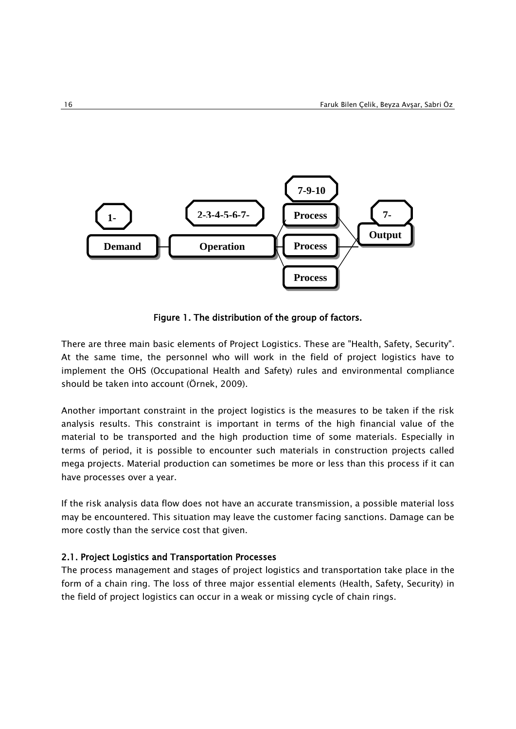

Figure 1. The distribution of the group of factors.

There are three main basic elements of Project Logistics. These are "Health, Safety, Security". At the same time, the personnel who will work in the field of project logistics have to implement the OHS (Occupational Health and Safety) rules and environmental compliance should be taken into account (Örnek, 2009).

Another important constraint in the project logistics is the measures to be taken if the risk analysis results. This constraint is important in terms of the high financial value of the material to be transported and the high production time of some materials. Especially in terms of period, it is possible to encounter such materials in construction projects called mega projects. Material production can sometimes be more or less than this process if it can have processes over a year.

If the risk analysis data flow does not have an accurate transmission, a possible material loss may be encountered. This situation may leave the customer facing sanctions. Damage can be more costly than the service cost that given.

## 2.1. Project Logistics and Transportation Processes

The process management and stages of project logistics and transportation take place in the form of a chain ring. The loss of three major essential elements (Health, Safety, Security) in the field of project logistics can occur in a weak or missing cycle of chain rings.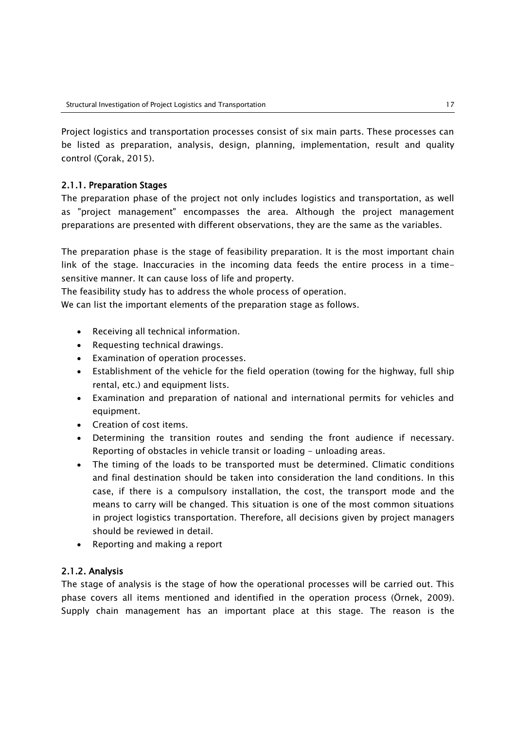Project logistics and transportation processes consist of six main parts. These processes can be listed as preparation, analysis, design, planning, implementation, result and quality control (Çorak, 2015).

## 2.1.1. Preparation Stages

The preparation phase of the project not only includes logistics and transportation, as well as "project management" encompasses the area. Although the project management preparations are presented with different observations, they are the same as the variables.

The preparation phase is the stage of feasibility preparation. It is the most important chain link of the stage. Inaccuracies in the incoming data feeds the entire process in a timesensitive manner. It can cause loss of life and property.

The feasibility study has to address the whole process of operation.

We can list the important elements of the preparation stage as follows.

- Receiving all technical information.
- Requesting technical drawings.
- Examination of operation processes.
- Establishment of the vehicle for the field operation (towing for the highway, full ship rental, etc.) and equipment lists.
- Examination and preparation of national and international permits for vehicles and equipment.
- Creation of cost items.
- Determining the transition routes and sending the front audience if necessary. Reporting of obstacles in vehicle transit or loading - unloading areas.
- The timing of the loads to be transported must be determined. Climatic conditions and final destination should be taken into consideration the land conditions. In this case, if there is a compulsory installation, the cost, the transport mode and the means to carry will be changed. This situation is one of the most common situations in project logistics transportation. Therefore, all decisions given by project managers should be reviewed in detail.
- Reporting and making a report

## 2.1.2. Analysis

The stage of analysis is the stage of how the operational processes will be carried out. This phase covers all items mentioned and identified in the operation process (Örnek, 2009). Supply chain management has an important place at this stage. The reason is the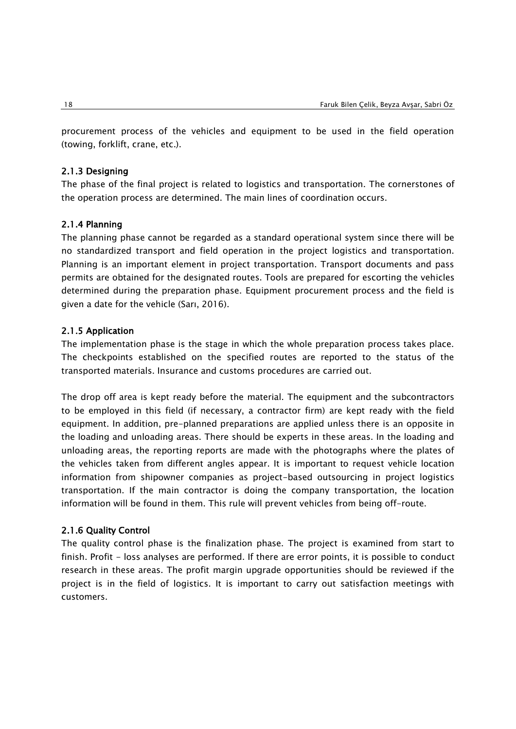procurement process of the vehicles and equipment to be used in the field operation (towing, forklift, crane, etc.).

### 2.1.3 Designing

The phase of the final project is related to logistics and transportation. The cornerstones of the operation process are determined. The main lines of coordination occurs.

## 2.1.4 Planning

The planning phase cannot be regarded as a standard operational system since there will be no standardized transport and field operation in the project logistics and transportation. Planning is an important element in project transportation. Transport documents and pass permits are obtained for the designated routes. Tools are prepared for escorting the vehicles determined during the preparation phase. Equipment procurement process and the field is given a date for the vehicle (Sarı, 2016).

#### 2.1.5 Application

The implementation phase is the stage in which the whole preparation process takes place. The checkpoints established on the specified routes are reported to the status of the transported materials. Insurance and customs procedures are carried out.

The drop off area is kept ready before the material. The equipment and the subcontractors to be employed in this field (if necessary, a contractor firm) are kept ready with the field equipment. In addition, pre-planned preparations are applied unless there is an opposite in the loading and unloading areas. There should be experts in these areas. In the loading and unloading areas, the reporting reports are made with the photographs where the plates of the vehicles taken from different angles appear. It is important to request vehicle location information from shipowner companies as project-based outsourcing in project logistics transportation. If the main contractor is doing the company transportation, the location information will be found in them. This rule will prevent vehicles from being off-route.

#### 2.1.6 Quality Control

The quality control phase is the finalization phase. The project is examined from start to finish. Profit - loss analyses are performed. If there are error points, it is possible to conduct research in these areas. The profit margin upgrade opportunities should be reviewed if the project is in the field of logistics. It is important to carry out satisfaction meetings with customers.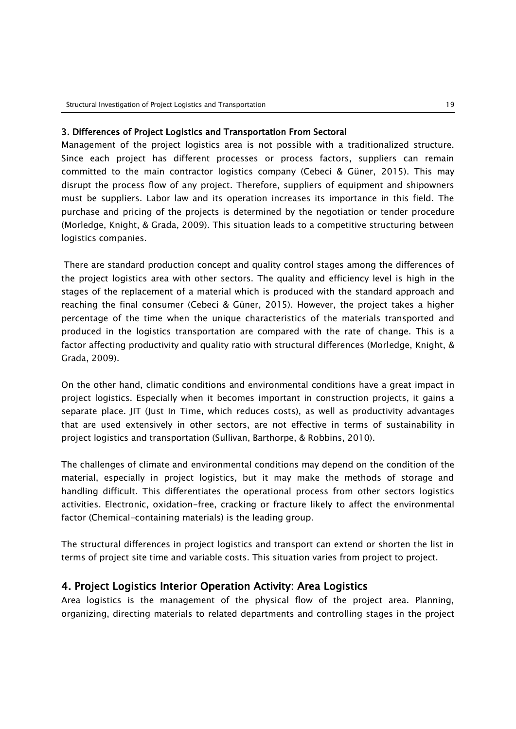#### 3. Differences of Project Logistics and Transportation From Sectoral

Management of the project logistics area is not possible with a traditionalized structure. Since each project has different processes or process factors, suppliers can remain committed to the main contractor logistics company (Cebeci & Güner, 2015). This may disrupt the process flow of any project. Therefore, suppliers of equipment and shipowners must be suppliers. Labor law and its operation increases its importance in this field. The purchase and pricing of the projects is determined by the negotiation or tender procedure (Morledge, Knight, & Grada, 2009). This situation leads to a competitive structuring between logistics companies.

There are standard production concept and quality control stages among the differences of the project logistics area with other sectors. The quality and efficiency level is high in the stages of the replacement of a material which is produced with the standard approach and reaching the final consumer (Cebeci & Güner, 2015). However, the project takes a higher percentage of the time when the unique characteristics of the materials transported and produced in the logistics transportation are compared with the rate of change. This is a factor affecting productivity and quality ratio with structural differences (Morledge, Knight, & Grada, 2009).

On the other hand, climatic conditions and environmental conditions have a great impact in project logistics. Especially when it becomes important in construction projects, it gains a separate place. JIT (Just In Time, which reduces costs), as well as productivity advantages that are used extensively in other sectors, are not effective in terms of sustainability in project logistics and transportation (Sullivan, Barthorpe, & Robbins, 2010).

The challenges of climate and environmental conditions may depend on the condition of the material, especially in project logistics, but it may make the methods of storage and handling difficult. This differentiates the operational process from other sectors logistics activities. Electronic, oxidation-free, cracking or fracture likely to affect the environmental factor (Chemical-containing materials) is the leading group.

The structural differences in project logistics and transport can extend or shorten the list in terms of project site time and variable costs. This situation varies from project to project.

## 4. Project Logistics Interior Operation Activity: Area Logistics

Area logistics is the management of the physical flow of the project area. Planning, organizing, directing materials to related departments and controlling stages in the project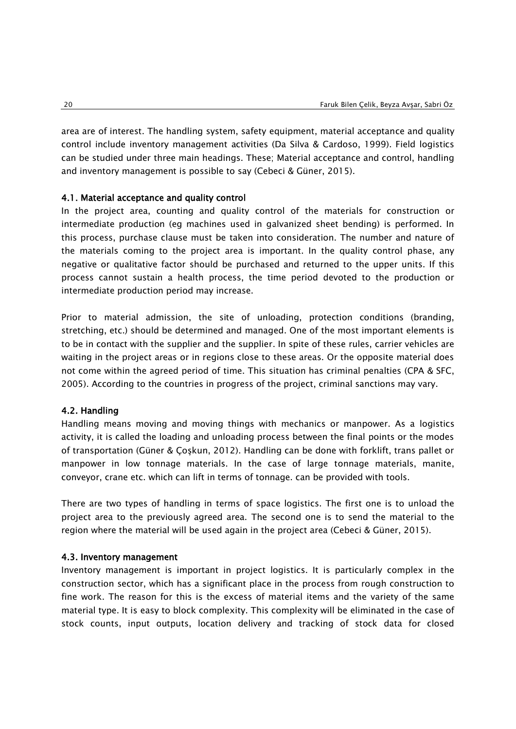area are of interest. The handling system, safety equipment, material acceptance and quality control include inventory management activities (Da Silva & Cardoso, 1999). Field logistics can be studied under three main headings. These; Material acceptance and control, handling and inventory management is possible to say (Cebeci & Güner, 2015).

#### 4.1. Material acceptance and quality control

In the project area, counting and quality control of the materials for construction or intermediate production (eg machines used in galvanized sheet bending) is performed. In this process, purchase clause must be taken into consideration. The number and nature of the materials coming to the project area is important. In the quality control phase, any negative or qualitative factor should be purchased and returned to the upper units. If this process cannot sustain a health process, the time period devoted to the production or intermediate production period may increase.

Prior to material admission, the site of unloading, protection conditions (branding, stretching, etc.) should be determined and managed. One of the most important elements is to be in contact with the supplier and the supplier. In spite of these rules, carrier vehicles are waiting in the project areas or in regions close to these areas. Or the opposite material does not come within the agreed period of time. This situation has criminal penalties (CPA & SFC, 2005). According to the countries in progress of the project, criminal sanctions may vary.

#### 4.2. Handling

Handling means moving and moving things with mechanics or manpower. As a logistics activity, it is called the loading and unloading process between the final points or the modes of transportation (Güner & Çoşkun, 2012). Handling can be done with forklift, trans pallet or manpower in low tonnage materials. In the case of large tonnage materials, manite, conveyor, crane etc. which can lift in terms of tonnage. can be provided with tools.

There are two types of handling in terms of space logistics. The first one is to unload the project area to the previously agreed area. The second one is to send the material to the region where the material will be used again in the project area (Cebeci & Güner, 2015).

#### 4.3. Inventory management

Inventory management is important in project logistics. It is particularly complex in the construction sector, which has a significant place in the process from rough construction to fine work. The reason for this is the excess of material items and the variety of the same material type. It is easy to block complexity. This complexity will be eliminated in the case of stock counts, input outputs, location delivery and tracking of stock data for closed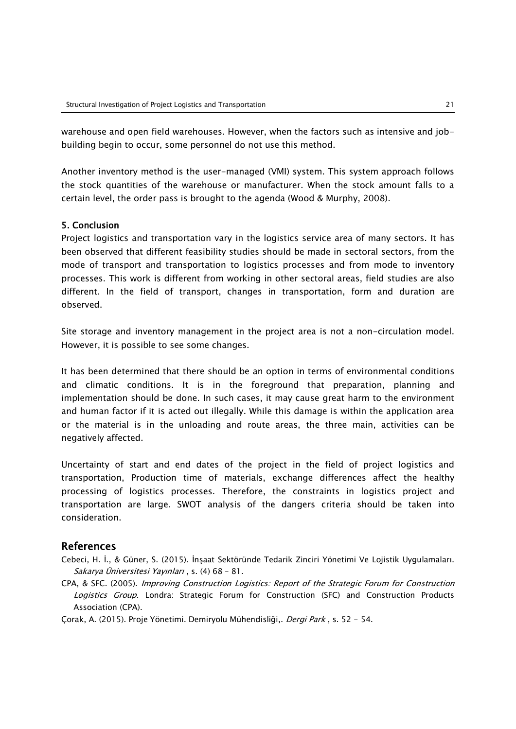warehouse and open field warehouses. However, when the factors such as intensive and jobbuilding begin to occur, some personnel do not use this method.

Another inventory method is the user-managed (VMI) system. This system approach follows the stock quantities of the warehouse or manufacturer. When the stock amount falls to a certain level, the order pass is brought to the agenda (Wood & Murphy, 2008).

## 5. Conclusion

Project logistics and transportation vary in the logistics service area of many sectors. It has been observed that different feasibility studies should be made in sectoral sectors, from the mode of transport and transportation to logistics processes and from mode to inventory processes. This work is different from working in other sectoral areas, field studies are also different. In the field of transport, changes in transportation, form and duration are observed.

Site storage and inventory management in the project area is not a non-circulation model. However, it is possible to see some changes.

It has been determined that there should be an option in terms of environmental conditions and climatic conditions. It is in the foreground that preparation, planning and implementation should be done. In such cases, it may cause great harm to the environment and human factor if it is acted out illegally. While this damage is within the application area or the material is in the unloading and route areas, the three main, activities can be negatively affected.

Uncertainty of start and end dates of the project in the field of project logistics and transportation, Production time of materials, exchange differences affect the healthy processing of logistics processes. Therefore, the constraints in logistics project and transportation are large. SWOT analysis of the dangers criteria should be taken into consideration.

# References

- Cebeci, H. İ., & Güner, S. (2015). İnşaat Sektöründe Tedarik Zinciri Yönetimi Ve Lojistik Uygulamaları. Sakarya Üniversitesi Yayınları , s. (4) 68 – 81.
- CPA, & SFC. (2005). Improving Construction Logistics: Report of the Strategic Forum for Construction Logistics Group. Londra: Strategic Forum for Construction (SFC) and Construction Products Association (CPA).
- Çorak, A. (2015). Proje Yönetimi. Demiryolu Mühendisliği,. Dergi Park, s. 52 54.